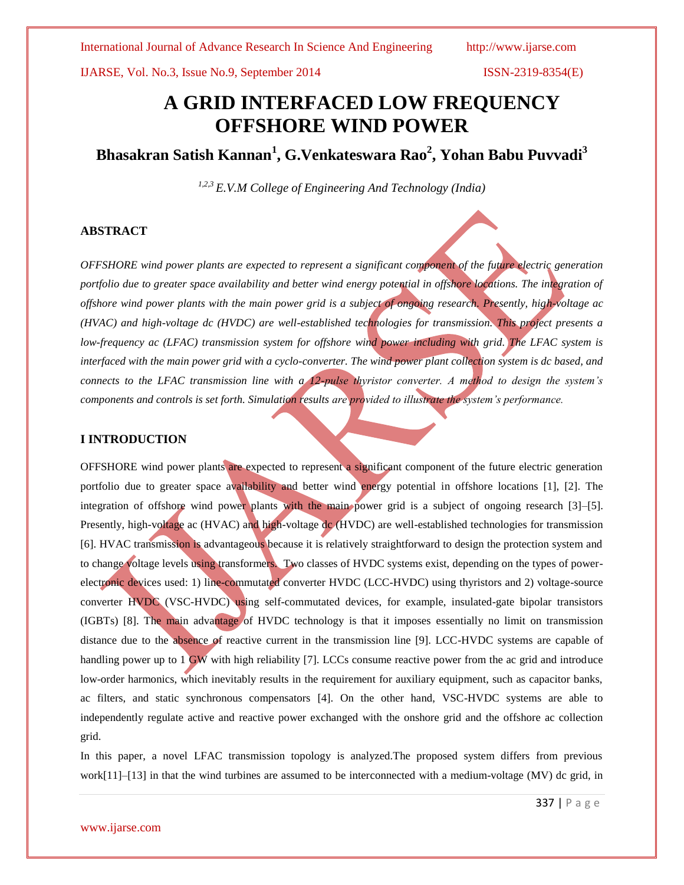# **A GRID INTERFACED LOW FREQUENCY OFFSHORE WIND POWER**

**Bhasakran Satish Kannan<sup>1</sup> , G.Venkateswara Rao<sup>2</sup> , Yohan Babu Puvvadi<sup>3</sup>**

*1,2,3 E.V.M College of Engineering And Technology (India)*

## **ABSTRACT**

*OFFSHORE wind power plants are expected to represent a significant component of the future electric generation portfolio due to greater space availability and better wind energy potential in offshore locations. The integration of offshore wind power plants with the main power grid is a subject of ongoing research. Presently, high-voltage ac (HVAC) and high-voltage dc (HVDC) are well-established technologies for transmission. This project presents a low-frequency ac (LFAC) transmission system for offshore wind power including with grid. The LFAC system is*  interfaced with the main power grid with a cyclo-converter. The wind power plant collection system is dc based, and *connects to the LFAC transmission line with a 12-pulse thyristor converter. A method to design the system's components and controls is set forth. Simulation results are provided to illustrate the system's performance.*

### **I INTRODUCTION**

OFFSHORE wind power plants are expected to represent a significant component of the future electric generation portfolio due to greater space availability and better wind energy potential in offshore locations [1], [2]. The integration of offshore wind power plants with the main power grid is a subject of ongoing research [3]–[5]. Presently, high-voltage ac (HVAC) and high-voltage dc (HVDC) are well-established technologies for transmission [6]. HVAC transmission is advantageous because it is relatively straightforward to design the protection system and to change voltage levels using transformers. Two classes of HVDC systems exist, depending on the types of powerelectronic devices used: 1) line-commutated converter HVDC (LCC-HVDC) using thyristors and 2) voltage-source converter HVDC (VSC-HVDC) using self-commutated devices, for example, insulated-gate bipolar transistors (IGBTs) [8]. The main advantage of HVDC technology is that it imposes essentially no limit on transmission distance due to the absence of reactive current in the transmission line [9]. LCC-HVDC systems are capable of handling power up to 1 GW with high reliability [7]. LCCs consume reactive power from the ac grid and introduce low-order harmonics, which inevitably results in the requirement for auxiliary equipment, such as capacitor banks, ac filters, and static synchronous compensators [4]. On the other hand, VSC-HVDC systems are able to independently regulate active and reactive power exchanged with the onshore grid and the offshore ac collection grid.

In this paper, a novel LFAC transmission topology is analyzed.The proposed system differs from previous work[11]–[13] in that the wind turbines are assumed to be interconnected with a medium-voltage (MV) dc grid, in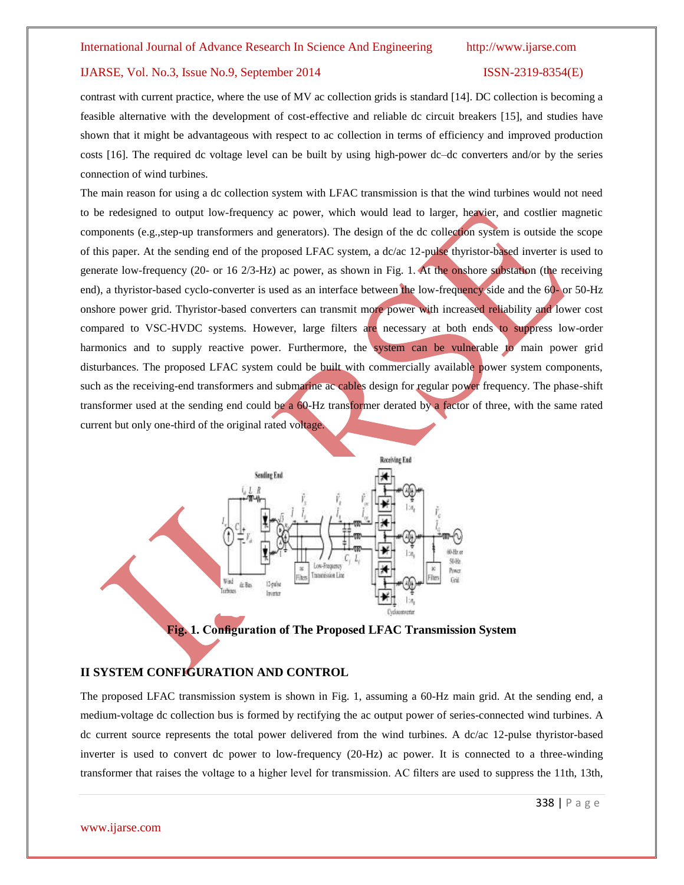contrast with current practice, where the use of MV ac collection grids is standard [14]. DC collection is becoming a feasible alternative with the development of cost-effective and reliable dc circuit breakers [15], and studies have shown that it might be advantageous with respect to ac collection in terms of efficiency and improved production costs [16]. The required dc voltage level can be built by using high-power dc–dc converters and/or by the series connection of wind turbines.

The main reason for using a dc collection system with LFAC transmission is that the wind turbines would not need to be redesigned to output low-frequency ac power, which would lead to larger, heavier, and costlier magnetic components (e.g.,step-up transformers and generators). The design of the dc collection system is outside the scope of this paper. At the sending end of the proposed LFAC system, a dc/ac 12-pulse thyristor-based inverter is used to generate low-frequency (20- or 16 2/3-Hz) ac power, as shown in Fig. 1. At the onshore substation (the receiving end), a thyristor-based cyclo-converter is used as an interface between the low-frequency side and the 60- or 50-Hz onshore power grid. Thyristor-based converters can transmit more power with increased reliability and lower cost compared to VSC-HVDC systems. However, large filters are necessary at both ends to suppress low-order harmonics and to supply reactive power. Furthermore, the system can be vulnerable to main power grid disturbances. The proposed LFAC system could be built with commercially available power system components, such as the receiving-end transformers and submarine ac cables design for regular power frequency. The phase-shift transformer used at the sending end could be a 60-Hz transformer derated by a factor of three, with the same rated current but only one-third of the original rated voltage.



**Fig. 1. Configuration of The Proposed LFAC Transmission System**

# **II SYSTEM CONFIGURATION AND CONTROL**

The proposed LFAC transmission system is shown in Fig. 1, assuming a 60-Hz main grid. At the sending end, a medium-voltage dc collection bus is formed by rectifying the ac output power of series-connected wind turbines. A dc current source represents the total power delivered from the wind turbines. A dc/ac 12-pulse thyristor-based inverter is used to convert dc power to low-frequency (20-Hz) ac power. It is connected to a three-winding transformer that raises the voltage to a higher level for transmission. AC filters are used to suppress the 11th, 13th,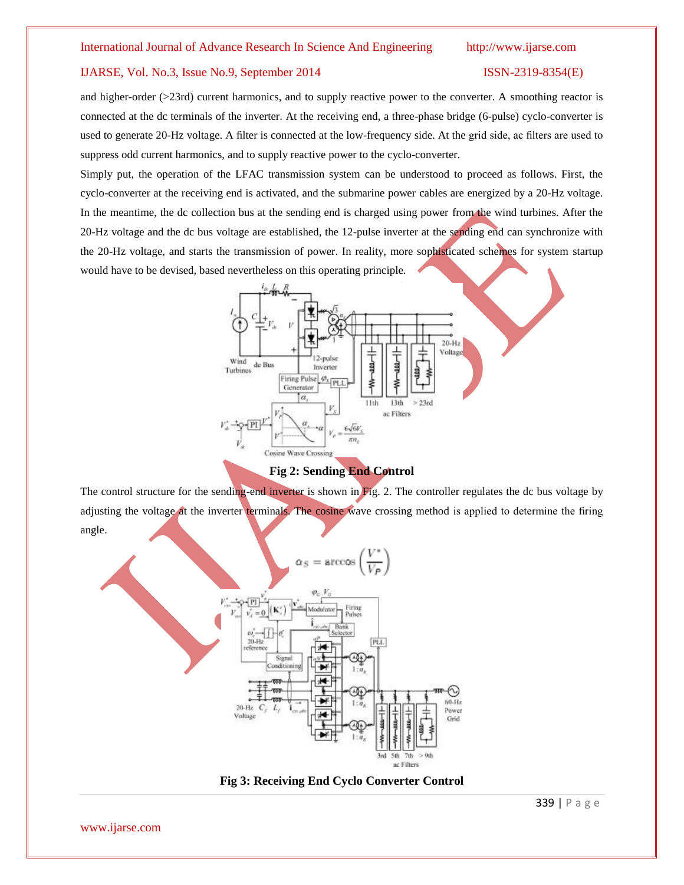and higher-order (>23rd) current harmonics, and to supply reactive power to the converter. A smoothing reactor is connected at the dc terminals of the inverter. At the receiving end, a three-phase bridge (6-pulse) cyclo-converter is used to generate 20-Hz voltage. A filter is connected at the low-frequency side. At the grid side, ac filters are used to suppress odd current harmonics, and to supply reactive power to the cyclo-converter.

Simply put, the operation of the LFAC transmission system can be understood to proceed as follows. First, the cyclo-converter at the receiving end is activated, and the submarine power cables are energized by a 20-Hz voltage. In the meantime, the dc collection bus at the sending end is charged using power from the wind turbines. After the 20-Hz voltage and the dc bus voltage are established, the 12-pulse inverter at the sending end can synchronize with the 20-Hz voltage, and starts the transmission of power. In reality, more sophisticated schemes for system startup would have to be devised, based nevertheless on this operating principle.



### **Fig 2: Sending End Control**

The control structure for the sending-end inverter is shown in Fig. 2. The controller regulates the dc bus voltage by adjusting the voltage at the inverter terminals. The cosine wave crossing method is applied to determine the firing angle.





339 | P a g e

www.ijarse.com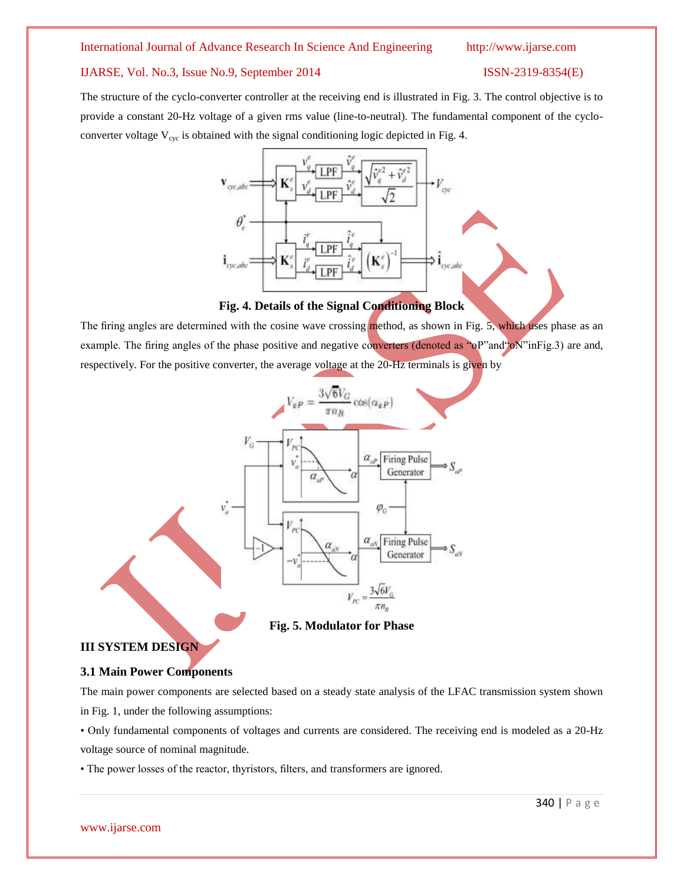### International Journal of Advance Research In Science And Engineering http://www.ijarse.com

### IJARSE, Vol. No.3, Issue No.9, September 2014 ISSN-2319-8354(E)

The structure of the cyclo-converter controller at the receiving end is illustrated in Fig. 3. The control objective is to provide a constant 20-Hz voltage of a given rms value (line-to-neutral). The fundamental component of the cycloconverter voltage  $V_{\text{cyc}}$  is obtained with the signal conditioning logic depicted in Fig. 4.



### **Fig. 4. Details of the Signal Conditioning Block**

The firing angles are determined with the cosine wave crossing method, as shown in Fig. 5, which uses phase as an example. The firing angles of the phase positive and negative converters (denoted as "oP"and"oN"inFig.3) are and, respectively. For the positive converter, the average voltage at the 20-Hz terminals is given by



**Fig. 5. Modulator for Phase**

# **III SYSTEM DESIGN**

# **3.1 Main Power Components**

The main power components are selected based on a steady state analysis of the LFAC transmission system shown in Fig. 1, under the following assumptions:

• Only fundamental components of voltages and currents are considered. The receiving end is modeled as a 20-Hz voltage source of nominal magnitude.

• The power losses of the reactor, thyristors, filters, and transformers are ignored.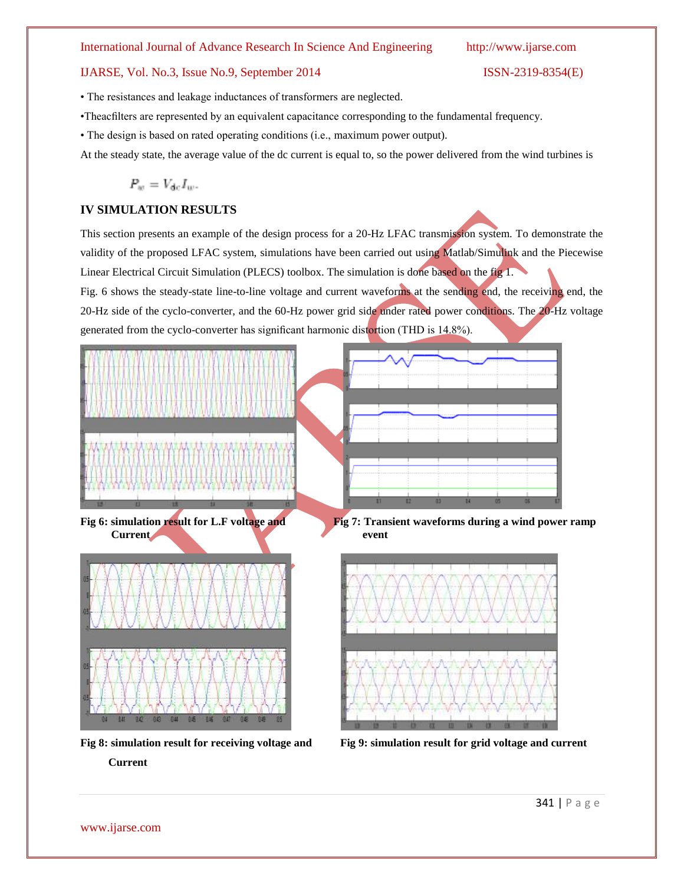### International Journal of Advance Research In Science And Engineering http://www.ijarse.com

# IJARSE, Vol. No.3, Issue No.9, September 2014 ISSN-2319-8354(E)

• The resistances and leakage inductances of transformers are neglected.

•Theacfilters are represented by an equivalent capacitance corresponding to the fundamental frequency.

• The design is based on rated operating conditions (i.e., maximum power output).

At the steady state, the average value of the dc current is equal to, so the power delivered from the wind turbines is

$$
P_w = V_{\rm dc} I_w.
$$

# **IV SIMULATION RESULTS**

This section presents an example of the design process for a 20-Hz LFAC transmission system. To demonstrate the validity of the proposed LFAC system, simulations have been carried out using Matlab/Simulink and the Piecewise Linear Electrical Circuit Simulation (PLECS) toolbox. The simulation is done based on the fig 1.

Fig. 6 shows the steady-state line-to-line voltage and current waveforms at the sending end, the receiving end, the 20-Hz side of the cyclo-converter, and the 60-Hz power grid side under rated power conditions. The 20-Hz voltage generated from the cyclo-converter has significant harmonic distortion (THD is 14.8%).



**Fig 8: simulation result for receiving voltage and Fig 9: simulation result for grid voltage and current**

 **Current** 

www.ijarse.com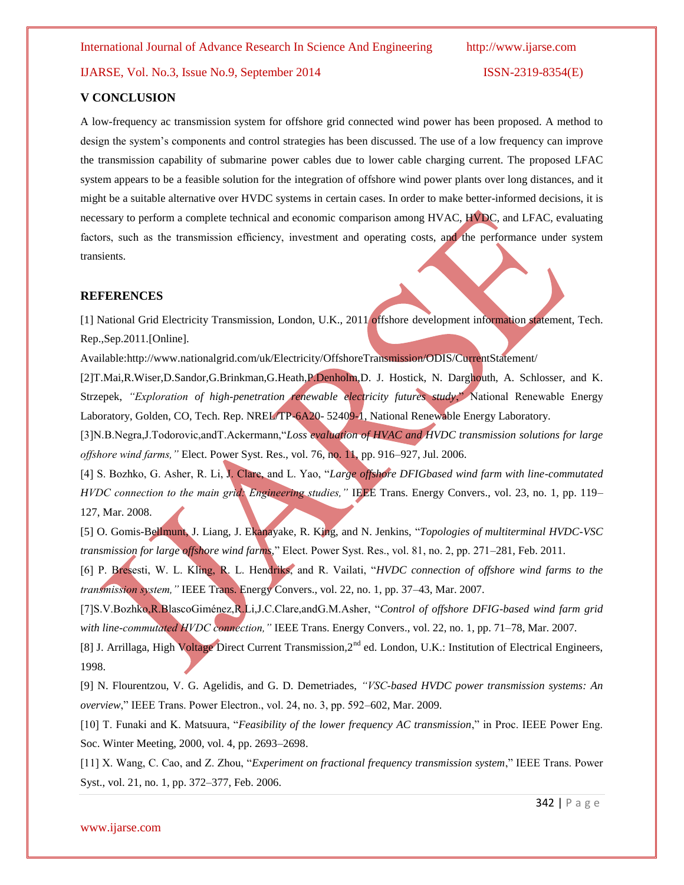# **V CONCLUSION**

A low-frequency ac transmission system for offshore grid connected wind power has been proposed. A method to design the system's components and control strategies has been discussed. The use of a low frequency can improve the transmission capability of submarine power cables due to lower cable charging current. The proposed LFAC system appears to be a feasible solution for the integration of offshore wind power plants over long distances, and it might be a suitable alternative over HVDC systems in certain cases. In order to make better-informed decisions, it is necessary to perform a complete technical and economic comparison among HVAC, HVDC, and LFAC, evaluating factors, such as the transmission efficiency, investment and operating costs, and the performance under system transients.

#### **REFERENCES**

[1] National Grid Electricity Transmission, London, U.K., 2011 offshore development information statement, Tech. Rep.,Sep.2011.[Online].

Available[:http://www.nationalgrid.com/uk/Electricity/OffshoreTransmission/ODIS/Cur](http://www.nationalgrid.com/uk/Electricity/OffshoreTransmission/ODIS/Cu)rentStatement/

[2]T.Mai,R.Wiser,D.Sandor,G.Brinkman,G.Heath,P.Denholm,D. J. Hostick, N. Darghouth, A. Schlosser, and K. Strzepek, *"Exploration of high-penetration renewable electricity futures study*," National Renewable Energy Laboratory, Golden, CO, Tech. Rep. NREL/TP-6A20- 52409-1, National Renewable Energy Laboratory.

[3]N.B.Negra,J.Todorovic,andT.Ackermann,"*Loss evaluation of HVAC and HVDC transmission solutions for large offshore wind farms,"* Elect. Power Syst. Res., vol. 76, no. 11, pp. 916–927, Jul. 2006.

[4] S. Bozhko, G. Asher, R. Li, J. Clare, and L. Yao, "*Large offshore DFIGbased wind farm with line-commutated HVDC connection to the main grid: Engineering studies,"* IEEE Trans. Energy Convers., vol. 23, no. 1, pp. 119– 127, Mar. 2008.

[5] O. Gomis-Bellmunt, J. Liang, J. Ekanayake, R. King, and N. Jenkins, "*Topologies of multiterminal HVDC-VSC transmission for large offshore wind farms,*" Elect. Power Syst. Res., vol. 81, no. 2, pp. 271–281, Feb. 2011.

[6] P. Bresesti, W. L. Kling, R. L. Hendriks, and R. Vailati, "*HVDC connection of offshore wind farms to the transmission system,"* IEEE Trans. Energy Convers., vol. 22, no. 1, pp. 37–43, Mar. 2007.

[7]S.V.Bozhko,R.BlascoGiménez,R.Li,J.C.Clare,andG.M.Asher, "*Control of offshore DFIG-based wind farm grid with line-commutated HVDC connection,"* IEEE Trans. Energy Convers., vol. 22, no. 1, pp. 71–78, Mar. 2007.

[8] J. Arrillaga, High Voltage Direct Current Transmission, 2<sup>nd</sup> ed. London, U.K.: Institution of Electrical Engineers, 1998.

[9] N. Flourentzou, V. G. Agelidis, and G. D. Demetriades, *"VSC-based HVDC power transmission systems: An overview*," IEEE Trans. Power Electron., vol. 24, no. 3, pp. 592–602, Mar. 2009.

[10] T. Funaki and K. Matsuura, "*Feasibility of the lower frequency AC transmission*," in Proc. IEEE Power Eng. Soc. Winter Meeting, 2000, vol. 4, pp. 2693–2698.

[11] X. Wang, C. Cao, and Z. Zhou, "*Experiment on fractional frequency transmission system*," IEEE Trans. Power Syst., vol. 21, no. 1, pp. 372–377, Feb. 2006.